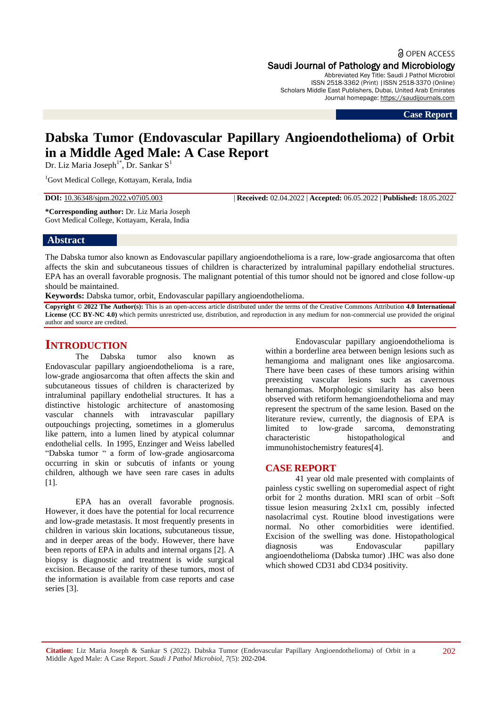a OPEN ACCESS

# Saudi Journal of Pathology and Microbiology

Abbreviated Key Title: Saudi J Pathol Microbiol ISSN 2518-3362 (Print) |ISSN 2518-3370 (Online) Scholars Middle East Publishers, Dubai, United Arab Emirates Journal homepage: [https://saudijournals.com](https://saudijournals.com/sjpm)

**Case Report**

# **Dabska Tumor (Endovascular Papillary Angioendothelioma) of Orbit in a Middle Aged Male: A Case Report**

Dr. Liz Maria Joseph<sup>1\*</sup>, Dr. Sankar S<sup>1</sup>

<sup>1</sup>Govt Medical College, Kottayam, Kerala, India

**DOI:** 10.36348/sjpm.2022.v07i05.003 | **Received:** 02.04.2022 | **Accepted:** 06.05.2022 | **Published:** 18.05.2022

**\*Corresponding author:** Dr. Liz Maria Joseph Govt Medical College, Kottayam, Kerala, India

### **Abstract**

The Dabska tumor also known as Endovascular papillary angioendothelioma is a rare, low-grade angiosarcoma that often affects the skin and subcutaneous tissues of children is characterized by intraluminal papillary endothelial structures. EPA has an overall favorable prognosis. The malignant potential of this tumor should not be ignored and close follow-up should be maintained.

**Keywords:** Dabska tumor, orbit, Endovascular papillary angioendothelioma.

**Copyright © 2022 The Author(s):** This is an open-access article distributed under the terms of the Creative Commons Attribution **4.0 International License (CC BY-NC 4.0)** which permits unrestricted use, distribution, and reproduction in any medium for non-commercial use provided the original author and source are credited.

# **INTRODUCTION**

The Dabska tumor also known as Endovascular papillary angioendothelioma is a rare, low-grade angiosarcoma that often affects the skin and subcutaneous tissues of children is characterized by intraluminal papillary endothelial structures. It has a distinctive histologic architecture of anastomosing vascular channels with intravascular papillary outpouchings projecting, sometimes in a glomerulus like pattern, into a lumen lined by atypical columnar endothelial cells. In 1995, Enzinger and Weiss labelled "Dabska tumor " a form of low-grade angiosarcoma occurring in skin or subcutis of infants or young children, although we have seen rare cases in adults [1].

EPA has an overall favorable prognosis. However, it does have the potential for local recurrence and low-grade metastasis. It most frequently presents in children in various skin locations, subcutaneous tissue, and in deeper areas of the body. However, there have been reports of EPA in adults and internal organs [2]. A biopsy is diagnostic and treatment is wide surgical excision. Because of the rarity of these tumors, most of the information is available from case reports and case series [3].

Endovascular papillary angioendothelioma is within a borderline area between benign lesions such as hemangioma and malignant ones like angiosarcoma. There have been cases of these tumors arising within preexisting vascular lesions such as cavernous hemangiomas. Morphologic similarity has also been observed with retiform hemangioendothelioma and may represent the spectrum of the same lesion. Based on the literature review, currently, the diagnosis of EPA is limited to low-grade sarcoma, demonstrating characteristic histopathological and immunohistochemistry features[4].

## **CASE REPORT**

41 year old male presented with complaints of painless cystic swelling on superomedial aspect of right orbit for 2 months duration. MRI scan of orbit –Soft tissue lesion measuring 2x1x1 cm, possibly infected nasolacrimal cyst. Routine blood investigations were normal. No other comorbidities were identified. Excision of the swelling was done. Histopathological diagnosis was Endovascular papillary angioendothelioma (Dabska tumor) .IHC was also done which showed CD31 abd CD34 positivity.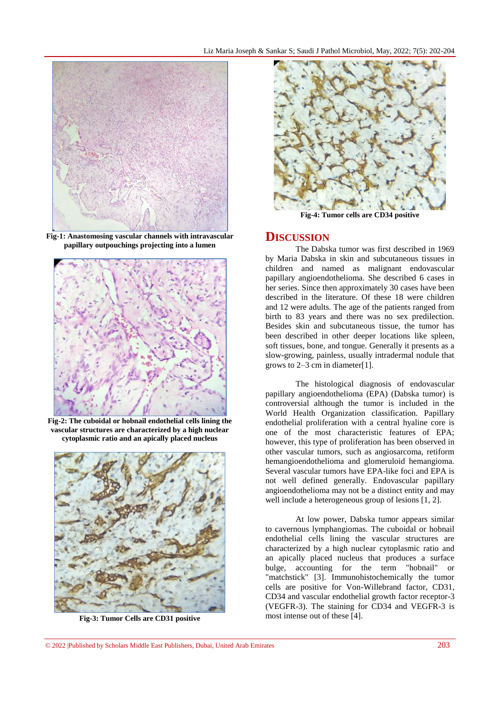

**Fig-1: Anastomosing vascular channels with intravascular papillary outpouchings projecting into a lumen**



**Fig-2: The cuboidal or hobnail endothelial cells lining the vascular structures are characterized by a high nuclear cytoplasmic ratio and an apically placed nucleus**



**Fig-3: Tumor Cells are CD31 positive**



**Fig-4: Tumor cells are CD34 positive**

### **DISCUSSION**

The Dabska tumor was first described in 1969 by Maria Dabska in skin and subcutaneous tissues in children and named as malignant endovascular papillary angioendothelioma. She described 6 cases in her series. Since then approximately 30 cases have been described in the literature. Of these 18 were children and 12 were adults. The age of the patients ranged from birth to 83 years and there was no sex predilection. Besides skin and subcutaneous tissue, the tumor has been described in other deeper locations like spleen, soft tissues, bone, and tongue. Generally it presents as a slow-growing, painless, usually intradermal nodule that grows to 2–3 cm in diameter[1].

The histological diagnosis of endovascular papillary angioendothelioma (EPA) (Dabska tumor) is controversial although the tumor is included in the World Health Organization classification. Papillary endothelial proliferation with a central hyaline core is one of the most characteristic features of EPA; however, this type of proliferation has been observed in other vascular tumors, such as angiosarcoma, retiform hemangioendothelioma and glomeruloid hemangioma. Several vascular tumors have EPA-like foci and EPA is not well defined generally. Endovascular papillary angioendothelioma may not be a distinct entity and may well include a heterogeneous group of lesions [1, 2].

At low power, Dabska tumor appears similar to cavernous lymphangiomas. The cuboidal or hobnail endothelial cells lining the vascular structures are characterized by a high nuclear cytoplasmic ratio and an apically placed nucleus that produces a surface bulge, accounting for the term "hobnail" or "matchstick" [3]. Immunohistochemically the tumor cells are positive for Von-Willebrand factor, CD31, CD34 and vascular endothelial growth factor receptor-3 (VEGFR-3). The staining for CD34 and VEGFR-3 is most intense out of these [4].